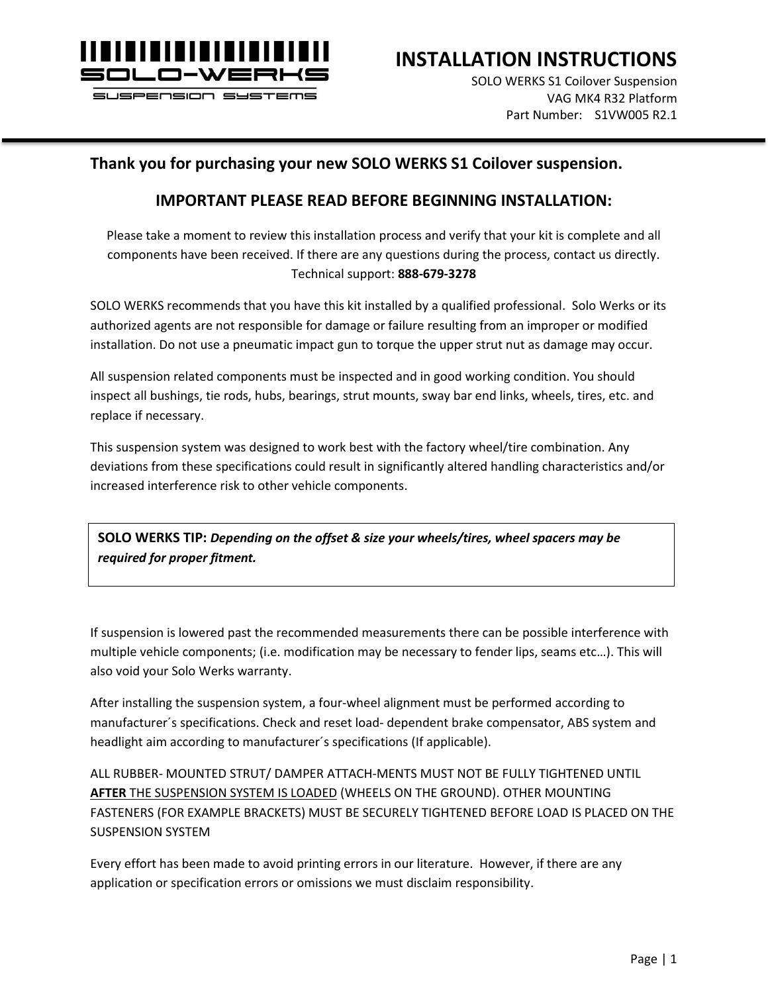

**INSTALLATION INSTRUCTIONS**

SOLO WERKS S1 Coilover Suspension VAG MK4 R32 Platform Part Number: S1VW005 R2.1

### **Thank you for purchasing your new SOLO WERKS S1 Coilover suspension.**

### **IMPORTANT PLEASE READ BEFORE BEGINNING INSTALLATION:**

Please take a moment to review this installation process and verify that your kit is complete and all components have been received. If there are any questions during the process, contact us directly. Technical support: **888-679-3278**

SOLO WERKS recommends that you have this kit installed by a qualified professional. Solo Werks or its authorized agents are not responsible for damage or failure resulting from an improper or modified installation. Do not use a pneumatic impact gun to torque the upper strut nut as damage may occur.

All suspension related components must be inspected and in good working condition. You should inspect all bushings, tie rods, hubs, bearings, strut mounts, sway bar end links, wheels, tires, etc. and replace if necessary.

This suspension system was designed to work best with the factory wheel/tire combination. Any deviations from these specifications could result in significantly altered handling characteristics and/or increased interference risk to other vehicle components.

**SOLO WERKS TIP:** *Depending on the offset & size your wheels/tires, wheel spacers may be required for proper fitment.*

If suspension is lowered past the recommended measurements there can be possible interference with multiple vehicle components; (i.e. modification may be necessary to fender lips, seams etc…). This will also void your Solo Werks warranty.

After installing the suspension system, a four-wheel alignment must be performed according to manufacturer´s specifications. Check and reset load- dependent brake compensator, ABS system and headlight aim according to manufacturer´s specifications (If applicable).

ALL RUBBER- MOUNTED STRUT/ DAMPER ATTACH-MENTS MUST NOT BE FULLY TIGHTENED UNTIL **AFTER** THE SUSPENSION SYSTEM IS LOADED (WHEELS ON THE GROUND). OTHER MOUNTING FASTENERS (FOR EXAMPLE BRACKETS) MUST BE SECURELY TIGHTENED BEFORE LOAD IS PLACED ON THE SUSPENSION SYSTEM

Every effort has been made to avoid printing errors in our literature. However, if there are any application or specification errors or omissions we must disclaim responsibility.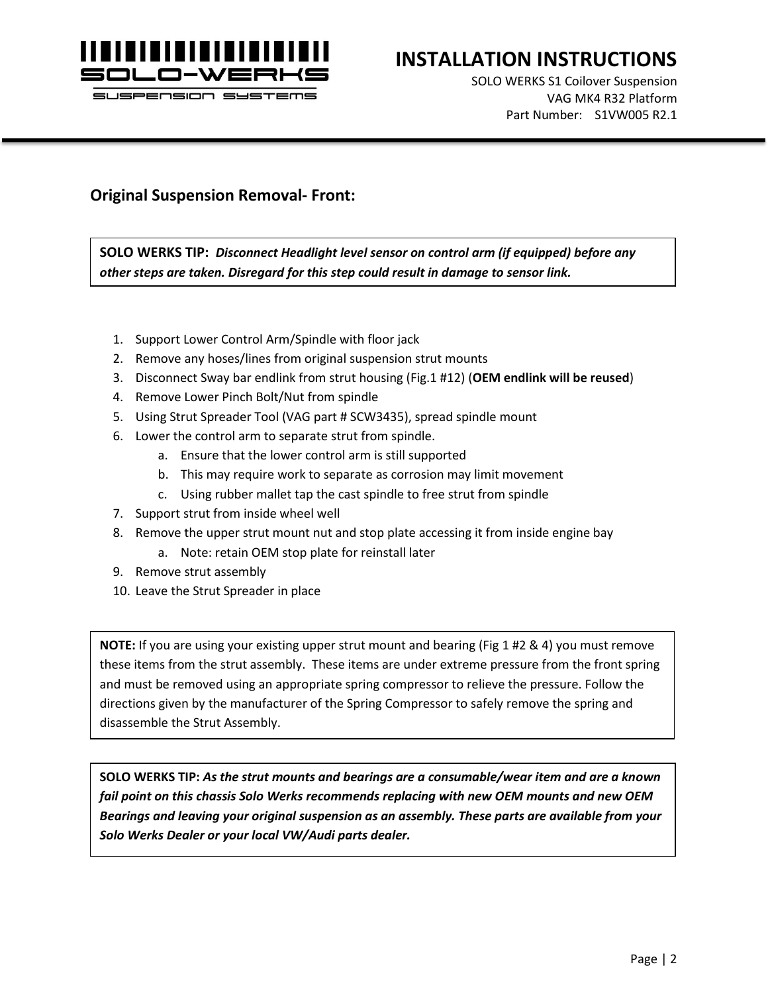

## **INSTALLATION INSTRUCTIONS**

SOLO WERKS S1 Coilover Suspension VAG MK4 R32 Platform Part Number: S1VW005 R2.1

#### **Original Suspension Removal- Front:**

**SOLO WERKS TIP:** *Disconnect Headlight level sensor on control arm (if equipped) before any other steps are taken. Disregard for this step could result in damage to sensor link.*

- 1. Support Lower Control Arm/Spindle with floor jack
- 2. Remove any hoses/lines from original suspension strut mounts
- 3. Disconnect Sway bar endlink from strut housing (Fig.1 #12) (**OEM endlink will be reused**)
- 4. Remove Lower Pinch Bolt/Nut from spindle
- 5. Using Strut Spreader Tool (VAG part # SCW3435), spread spindle mount
- 6. Lower the control arm to separate strut from spindle.
	- a. Ensure that the lower control arm is still supported
	- b. This may require work to separate as corrosion may limit movement
	- c. Using rubber mallet tap the cast spindle to free strut from spindle
- 7. Support strut from inside wheel well
- 8. Remove the upper strut mount nut and stop plate accessing it from inside engine bay
	- a. Note: retain OEM stop plate for reinstall later
- 9. Remove strut assembly
- 10. Leave the Strut Spreader in place

**NOTE:** If you are using your existing upper strut mount and bearing (Fig 1 #2 & 4) you must remove these items from the strut assembly. These items are under extreme pressure from the front spring and must be removed using an appropriate spring compressor to relieve the pressure. Follow the directions given by the manufacturer of the Spring Compressor to safely remove the spring and disassemble the Strut Assembly.

**SOLO WERKS TIP:** *As the strut mounts and bearings are a consumable/wear item and are a known fail point on this chassis Solo Werks recommends replacing with new OEM mounts and new OEM Bearings and leaving your original suspension as an assembly. These parts are available from your Solo Werks Dealer or your local VW/Audi parts dealer.*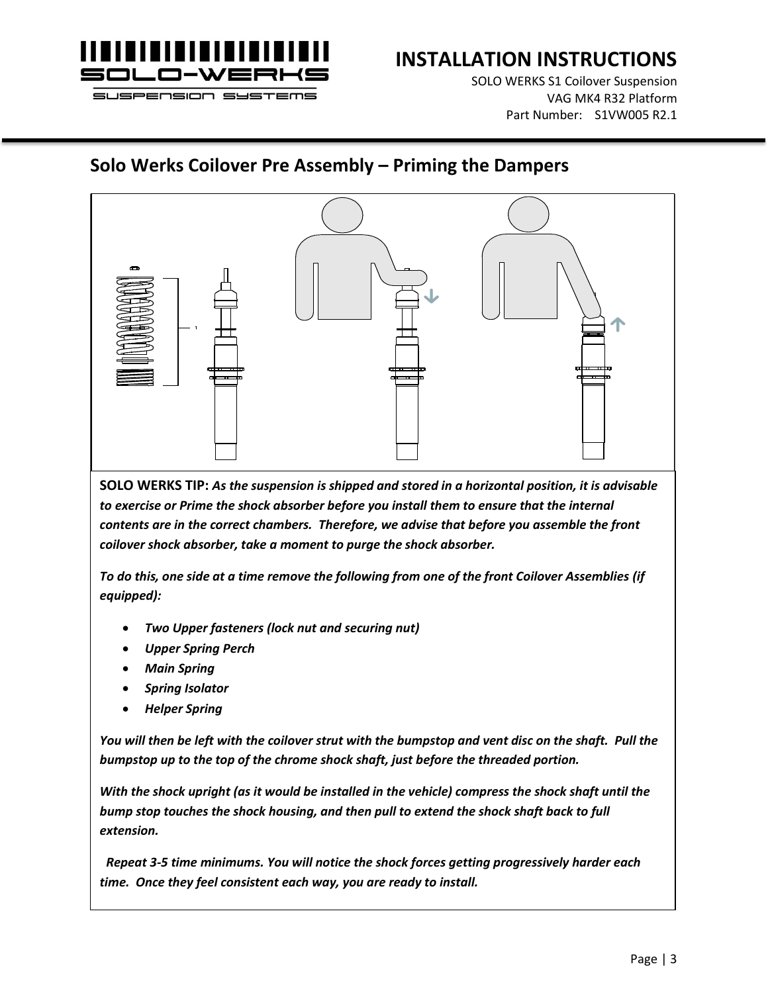

SOLO WERKS S1 Coilover Suspension VAG MK4 R32 Platform Part Number: S1VW005 R2.1

## **Solo Werks Coilover Pre Assembly – Priming the Dampers**



**SOLO WERKS TIP:** *As the suspension is shipped and stored in a horizontal position, it is advisable*  to exercise or Prime the shock absorber before you install them to ensure that the internal *contents are in the correct chambers. Therefore, we advise that before you assemble the front coilover shock absorber, take a moment to purge the shock absorber.* 

*To do this, one side at a time remove the following from one of the front Coilover Assemblies (if equipped):*

- *Two Upper fasteners (lock nut and securing nut)*
- *Upper Spring Perch*
- *Main Spring*
- *Spring Isolator*
- *Helper Spring*

*You will then be left with the coilover strut with the bumpstop and vent disc on the shaft. Pull the bumpstop up to the top of the chrome shock shaft, just before the threaded portion.* 

*With the shock upright (as it would be installed in the vehicle) compress the shock shaft until the bump stop touches the shock housing, and then pull to extend the shock shaft back to full extension.*

 *Repeat 3-5 time minimums. You will notice the shock forces getting progressively harder each time. Once they feel consistent each way, you are ready to install.*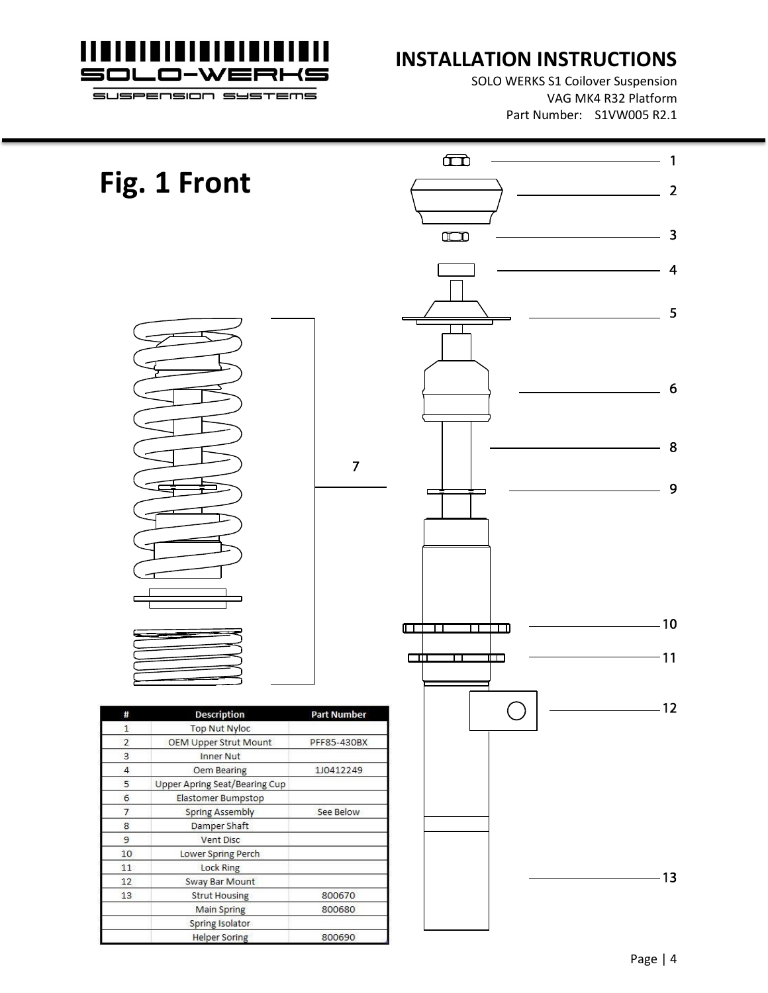

## **INSTALLATION INSTRUCTIONS**

SOLO WERKS S1 Coilover Suspension VAG MK4 R32 Platform Part Number: S1VW005 R2.1

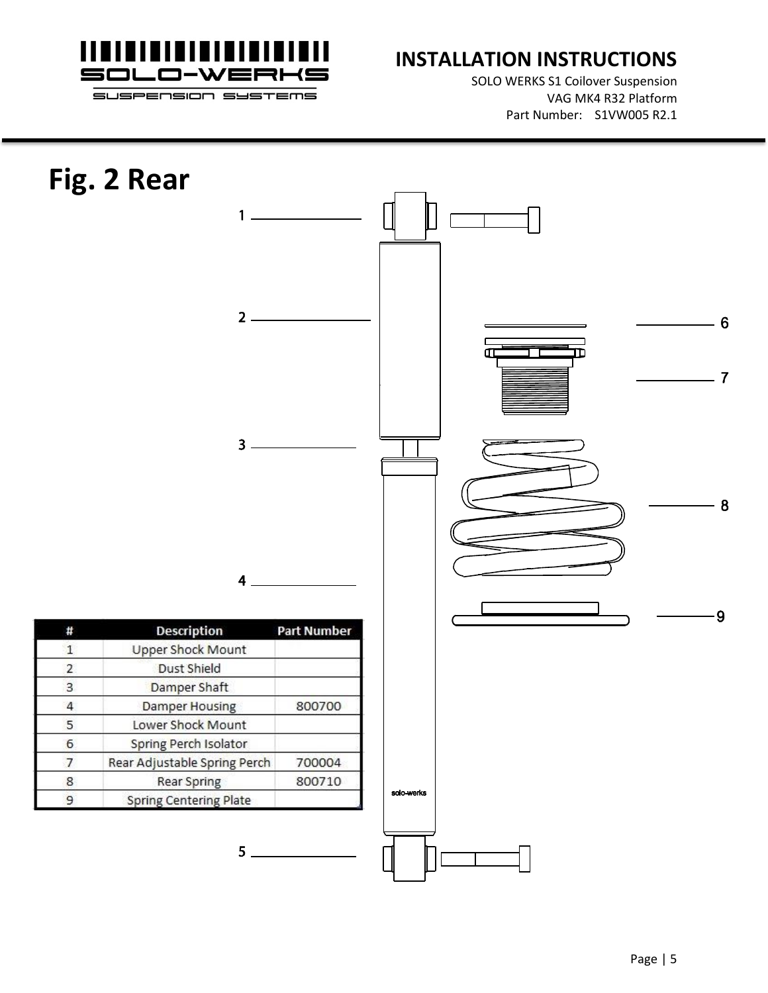

SOLO WERKS S1 Coilover Suspension VAG MK4 R32 Platform Part Number: S1VW005 R2.1

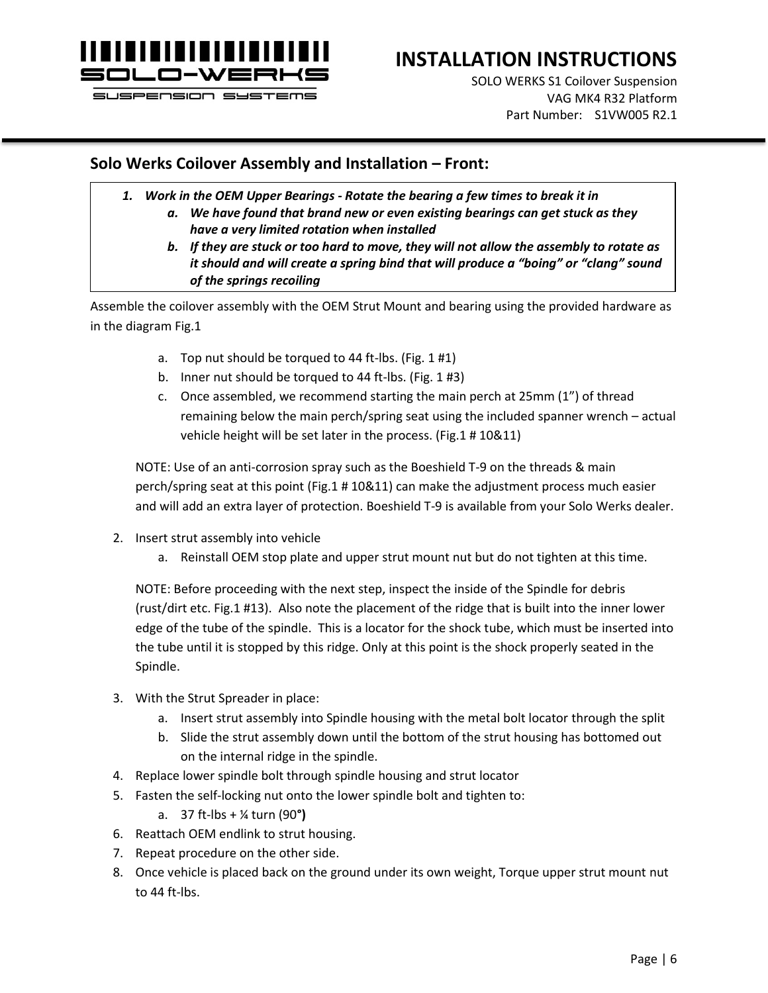

# **INSTALLATION INSTRUCTIONS**

SOLO WERKS S1 Coilover Suspension VAG MK4 R32 Platform Part Number: S1VW005 R2.1

### **Solo Werks Coilover Assembly and Installation – Front:**

- *1. Work in the OEM Upper Bearings - Rotate the bearing a few times to break it in*
	- *a. We have found that brand new or even existing bearings can get stuck as they have a very limited rotation when installed*
	- *b. If they are stuck or too hard to move, they will not allow the assembly to rotate as it should and will create a spring bind that will produce a "boing" or "clang" sound of the springs recoiling*

Assemble the coilover assembly with the OEM Strut Mount and bearing using the provided hardware as in the diagram Fig.1

- a. Top nut should be torqued to 44 ft-lbs. (Fig. 1 #1)
- b. Inner nut should be torqued to 44 ft-lbs. (Fig. 1 #3)
- c. Once assembled, we recommend starting the main perch at 25mm (1") of thread remaining below the main perch/spring seat using the included spanner wrench – actual vehicle height will be set later in the process. (Fig.1 # 10&11)

NOTE: Use of an anti-corrosion spray such as the Boeshield T-9 on the threads & main perch/spring seat at this point (Fig.1 # 10&11) can make the adjustment process much easier and will add an extra layer of protection. Boeshield T-9 is available from your Solo Werks dealer.

- 2. Insert strut assembly into vehicle
	- a. Reinstall OEM stop plate and upper strut mount nut but do not tighten at this time.

NOTE: Before proceeding with the next step, inspect the inside of the Spindle for debris (rust/dirt etc. Fig.1 #13). Also note the placement of the ridge that is built into the inner lower edge of the tube of the spindle. This is a locator for the shock tube, which must be inserted into the tube until it is stopped by this ridge. Only at this point is the shock properly seated in the Spindle.

- 3. With the Strut Spreader in place:
	- a. Insert strut assembly into Spindle housing with the metal bolt locator through the split
	- b. Slide the strut assembly down until the bottom of the strut housing has bottomed out on the internal ridge in the spindle.
- 4. Replace lower spindle bolt through spindle housing and strut locator
- 5. Fasten the self-locking nut onto the lower spindle bolt and tighten to:
	- a. 37 ft-lbs + ¼ turn (90**°)**
- 6. Reattach OEM endlink to strut housing.
- 7. Repeat procedure on the other side.
- 8. Once vehicle is placed back on the ground under its own weight, Torque upper strut mount nut to 44 ft-lbs.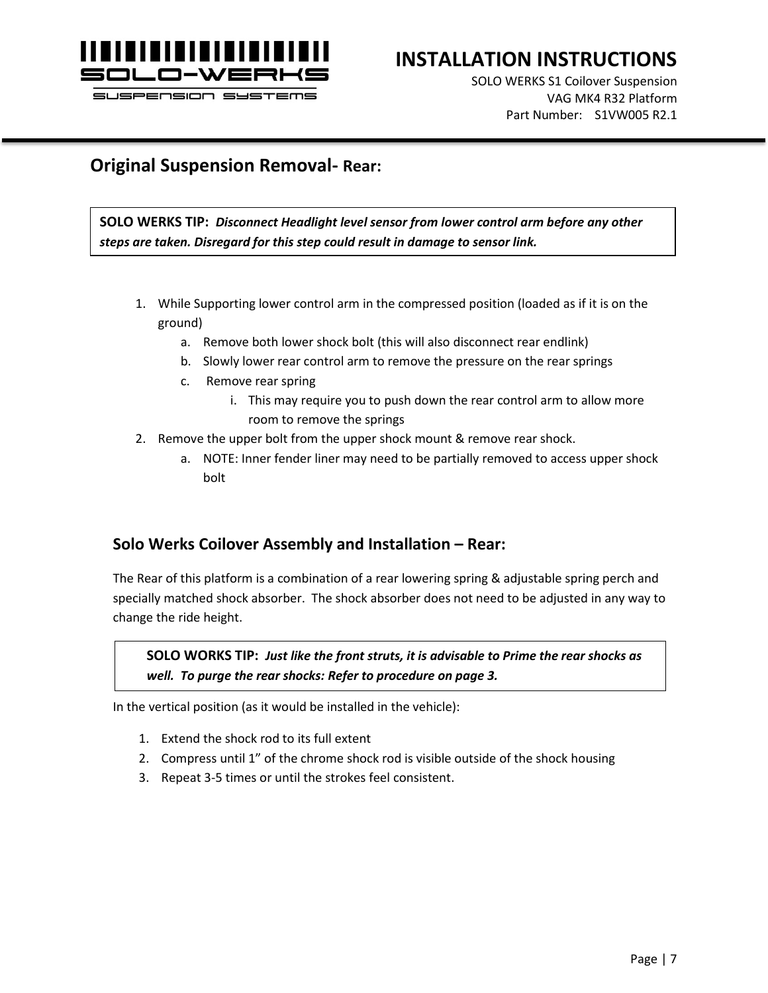

## **INSTALLATION INSTRUCTIONS**

SOLO WERKS S1 Coilover Suspension VAG MK4 R32 Platform Part Number: S1VW005 R2.1

## **Original Suspension Removal- Rear:**

**SOLO WERKS TIP:** *Disconnect Headlight level sensor from lower control arm before any other steps are taken. Disregard for this step could result in damage to sensor link.*

- 1. While Supporting lower control arm in the compressed position (loaded as if it is on the ground)
	- a. Remove both lower shock bolt (this will also disconnect rear endlink)
	- b. Slowly lower rear control arm to remove the pressure on the rear springs
	- c. Remove rear spring
		- i. This may require you to push down the rear control arm to allow more room to remove the springs
- 2. Remove the upper bolt from the upper shock mount & remove rear shock.
	- a. NOTE: Inner fender liner may need to be partially removed to access upper shock bolt

## **Solo Werks Coilover Assembly and Installation – Rear:**

The Rear of this platform is a combination of a rear lowering spring & adjustable spring perch and specially matched shock absorber. The shock absorber does not need to be adjusted in any way to change the ride height.

**SOLO WORKS TIP:** *Just like the front struts, it is advisable to Prime the rear shocks as well. To purge the rear shocks: Refer to procedure on page 3.*

In the vertical position (as it would be installed in the vehicle):

- 1. Extend the shock rod to its full extent
- 2. Compress until 1" of the chrome shock rod is visible outside of the shock housing
- 3. Repeat 3-5 times or until the strokes feel consistent.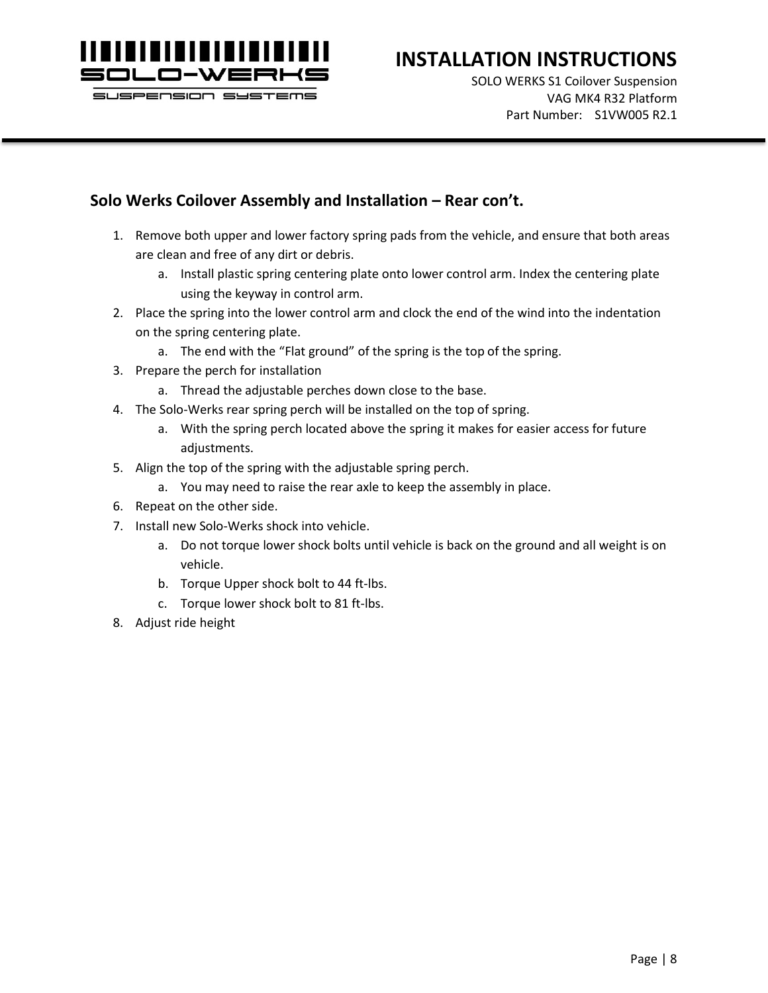

## **INSTALLATION INSTRUCTIONS**

SOLO WERKS S1 Coilover Suspension VAG MK4 R32 Platform Part Number: S1VW005 R2.1

### **Solo Werks Coilover Assembly and Installation – Rear con't.**

- 1. Remove both upper and lower factory spring pads from the vehicle, and ensure that both areas are clean and free of any dirt or debris.
	- a. Install plastic spring centering plate onto lower control arm. Index the centering plate using the keyway in control arm.
- 2. Place the spring into the lower control arm and clock the end of the wind into the indentation on the spring centering plate.
	- a. The end with the "Flat ground" of the spring is the top of the spring.
- 3. Prepare the perch for installation
	- a. Thread the adjustable perches down close to the base.
- 4. The Solo-Werks rear spring perch will be installed on the top of spring.
	- a. With the spring perch located above the spring it makes for easier access for future adjustments.
- 5. Align the top of the spring with the adjustable spring perch.
	- a. You may need to raise the rear axle to keep the assembly in place.
- 6. Repeat on the other side.
- 7. Install new Solo-Werks shock into vehicle.
	- a. Do not torque lower shock bolts until vehicle is back on the ground and all weight is on vehicle.
	- b. Torque Upper shock bolt to 44 ft-lbs.
	- c. Torque lower shock bolt to 81 ft-lbs.
- 8. Adjust ride height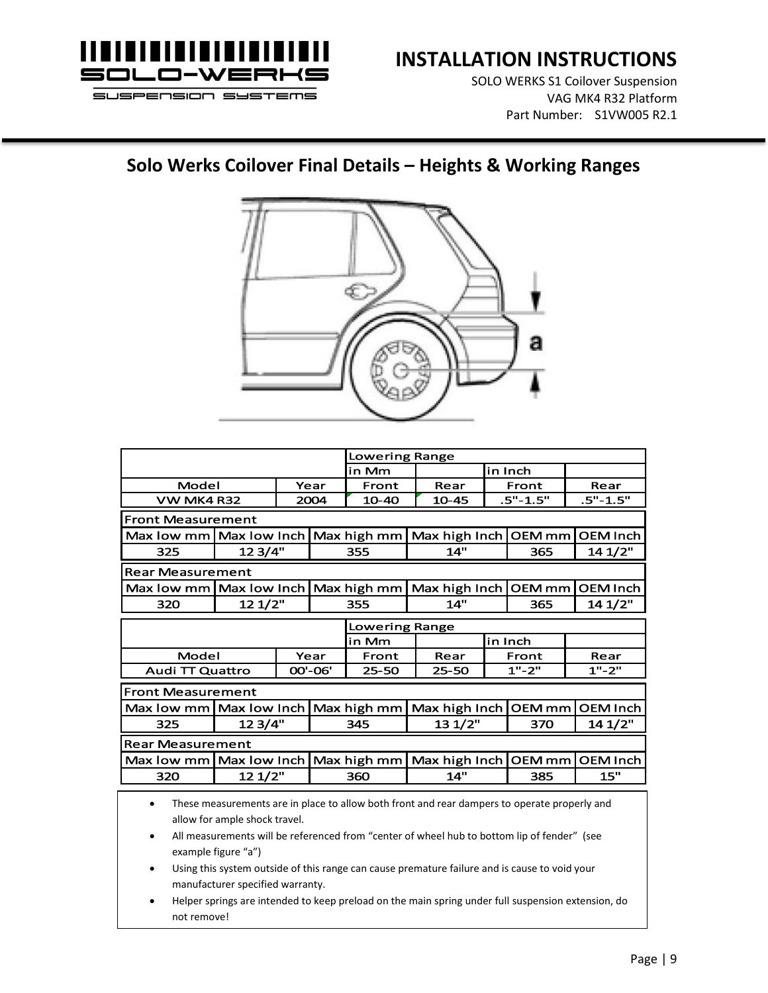

SOLO WERKS S1 Coilover Suspension VAG MK4 R32 Platform Part Number: S1VW005 R2.1

# **Solo Werks Coilover Final Details – Heights & Working Ranges**



| <b>Lowering Range</b>                                                                                                                                                                                                                                                         |         |      |         |                |               |               |                   |                 |  |
|-------------------------------------------------------------------------------------------------------------------------------------------------------------------------------------------------------------------------------------------------------------------------------|---------|------|---------|----------------|---------------|---------------|-------------------|-----------------|--|
|                                                                                                                                                                                                                                                                               |         |      | in Mm   |                | in Inch       |               |                   |                 |  |
| Model                                                                                                                                                                                                                                                                         |         | Year | Front   | Rear           | Front         |               | Rear              |                 |  |
| <b>VW MK4 R32</b>                                                                                                                                                                                                                                                             |         |      | 2004    | 10-40          | $10 - 45$     | $.5" - 1.5"$  |                   | $.5" - 1.5"$    |  |
| <b>Front Measurement</b>                                                                                                                                                                                                                                                      |         |      |         |                |               |               |                   |                 |  |
| Max low mm Max low Inch                                                                                                                                                                                                                                                       |         |      |         | Max high mm    | Max high Inch |               | <b>OEM</b> mm     | <b>OEM Inch</b> |  |
| 325                                                                                                                                                                                                                                                                           | 123/4"  |      | 355     | 14"            | 365           |               | 14 1/2"           |                 |  |
| <b>Rear Measurement</b>                                                                                                                                                                                                                                                       |         |      |         |                |               |               |                   |                 |  |
| Max low mm   Max low Inch                                                                                                                                                                                                                                                     |         |      |         | Max high mm    | Max high Inch | <b>OEM</b> mm |                   | <b>OEM Inch</b> |  |
| 320                                                                                                                                                                                                                                                                           | 12 1/2" |      |         | 355            | 14"           |               | 365               | 14 1/2"         |  |
| <b>Lowering Range</b>                                                                                                                                                                                                                                                         |         |      |         |                |               |               |                   |                 |  |
|                                                                                                                                                                                                                                                                               |         |      |         | in Mm          |               | in Inch       |                   |                 |  |
| Model                                                                                                                                                                                                                                                                         |         |      | Year    | Front          | Rear          |               | Front             | Rear            |  |
| <b>Audi TT Quattro</b>                                                                                                                                                                                                                                                        |         |      | 00'-06' | $25 - 50$      | $25 - 50$     | $1" - 2"$     |                   | $1" - 2"$       |  |
| <b>Front Measurement</b>                                                                                                                                                                                                                                                      |         |      |         |                |               |               |                   |                 |  |
| Max low mm   Max low Inch                                                                                                                                                                                                                                                     |         |      |         | Max high mm    | Max high Inch |               | OEM <sub>mm</sub> | <b>OEM Inch</b> |  |
| 325                                                                                                                                                                                                                                                                           | 12 3/4" |      |         | 13 1/2"<br>345 |               |               | 370               | 14 1/2"         |  |
| <b>Rear Measurement</b>                                                                                                                                                                                                                                                       |         |      |         |                |               |               |                   |                 |  |
| Max low mm   Max low Inch                                                                                                                                                                                                                                                     |         |      |         | Max high mm    | Max high Inch |               | <b>OEM</b> mm     | <b>OEM Inch</b> |  |
| 320                                                                                                                                                                                                                                                                           | 12 1/2" |      |         | 360            | 14"           |               | 385               | 15"             |  |
| These measurements are in place to allow both front and rear dampers to operate properly and<br>$\bullet$<br>allow for ample shock travel.<br>All measurements will be referenced from "center of wheel hub to bottom lip of fender" (see<br>$\bullet$<br>example figure "a") |         |      |         |                |               |               |                   |                 |  |

- Using this system outside of this range can cause premature failure and is cause to void your manufacturer specified warranty.
- Helper springs are intended to keep preload on the main spring under full suspension extension, do not remove!